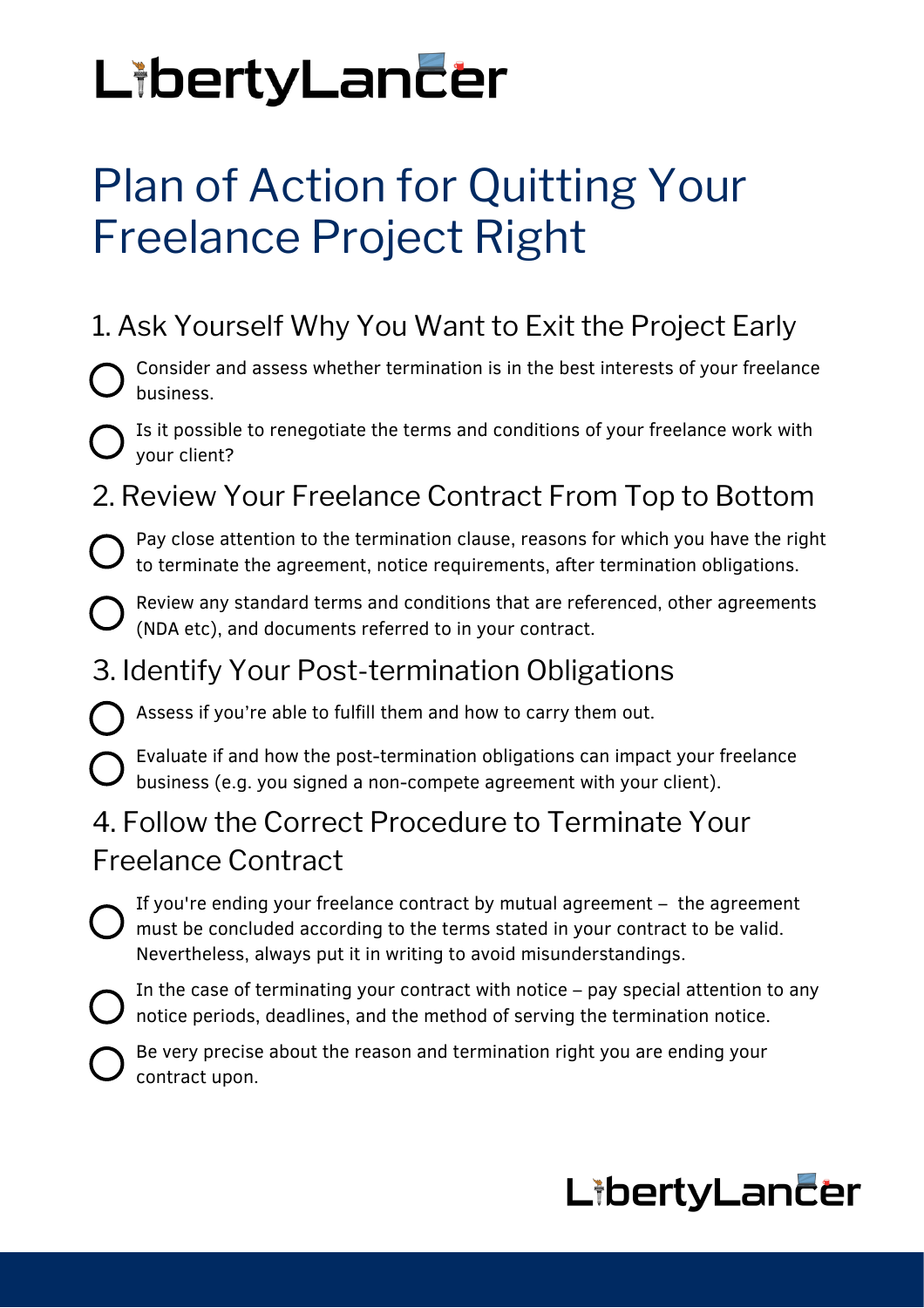# LibertyLancer

# Plan of Action for Quitting Your Freelance Project Right

# 1. Ask Yourself Why You Want to Exit the Project Early

Consider and assess whether termination is in the best interests of your freelance business.

Is it possible to renegotiate the terms and conditions of your freelance work with your client?

## 2. Review Your Freelance Contract From Top to Bottom

Pay close attention to the termination clause, reasons for which you have the right to terminate the agreement, notice requirements, after termination obligations.

Review any standard terms and conditions that are referenced, other agreements (NDA etc), and documents referred to in your contract.

#### 3. Identify Your Post-termination Obligations

Assess if you're able to fulfill them and how to carry them out.

Evaluate if and how the post-termination obligations can impact your freelance business (e.g. you signed a non-compete agreement with your client).

#### 4. Follow the Correct Procedure to Terminate Your Freelance Contract

If you're ending your freelance contract by mutual agreement – the agreement must be concluded according to the terms stated in your contract to be valid. Nevertheless, always put it in writing to avoid misunderstandings.

In the case of terminating your contract with notice – pay special attention to any  $\bigcup$  notice periods, deadlines, and the method of serving the termination notice.

Be very precise about the reason and termination right you are ending your contract upon.

# LibertyLancer